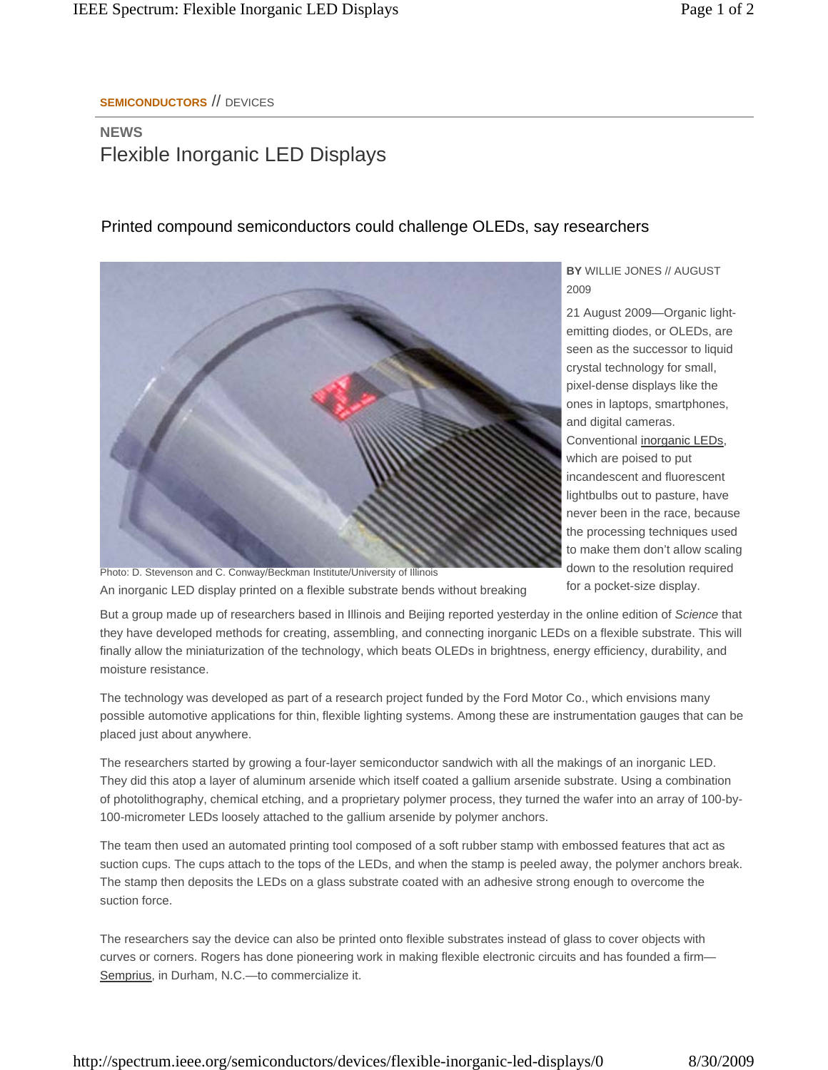## **SEMICONDUCTORS** // DEVICES

# **NEWS** Flexible Inorganic LED Displays

## Printed compound semiconductors could challenge OLEDs, say researchers



Photo: D. Stevenson and C. Conway/Beckman Institute/University of Illinois An inorganic LED display printed on a flexible substrate bends without breaking

### **BY** WILLIE JONES // AUGUST 2009

21 August 2009—Organic lightemitting diodes, or OLEDs, are seen as the successor to liquid crystal technology for small, pixel-dense displays like the ones in laptops, smartphones, and digital cameras. Conventional inorganic LEDs, which are poised to put incandescent and fluorescent lightbulbs out to pasture, have never been in the race, because the processing techniques used to make them don't allow scaling down to the resolution required for a pocket-size display.

But a group made up of researchers based in Illinois and Beijing reported yesterday in the online edition of *Science* that they have developed methods for creating, assembling, and connecting inorganic LEDs on a flexible substrate. This will finally allow the miniaturization of the technology, which beats OLEDs in brightness, energy efficiency, durability, and moisture resistance.

The technology was developed as part of a research project funded by the Ford Motor Co., which envisions many possible automotive applications for thin, flexible lighting systems. Among these are instrumentation gauges that can be placed just about anywhere.

The researchers started by growing a four-layer semiconductor sandwich with all the makings of an inorganic LED. They did this atop a layer of aluminum arsenide which itself coated a gallium arsenide substrate. Using a combination of photolithography, chemical etching, and a proprietary polymer process, they turned the wafer into an array of 100-by-100-micrometer LEDs loosely attached to the gallium arsenide by polymer anchors.

The team then used an automated printing tool composed of a soft rubber stamp with embossed features that act as suction cups. The cups attach to the tops of the LEDs, and when the stamp is peeled away, the polymer anchors break. The stamp then deposits the LEDs on a glass substrate coated with an adhesive strong enough to overcome the suction force.

The researchers say the device can also be printed onto flexible substrates instead of glass to cover objects with curves or corners. Rogers has done pioneering work in making flexible electronic circuits and has founded a firm— Semprius, in Durham, N.C.—to commercialize it.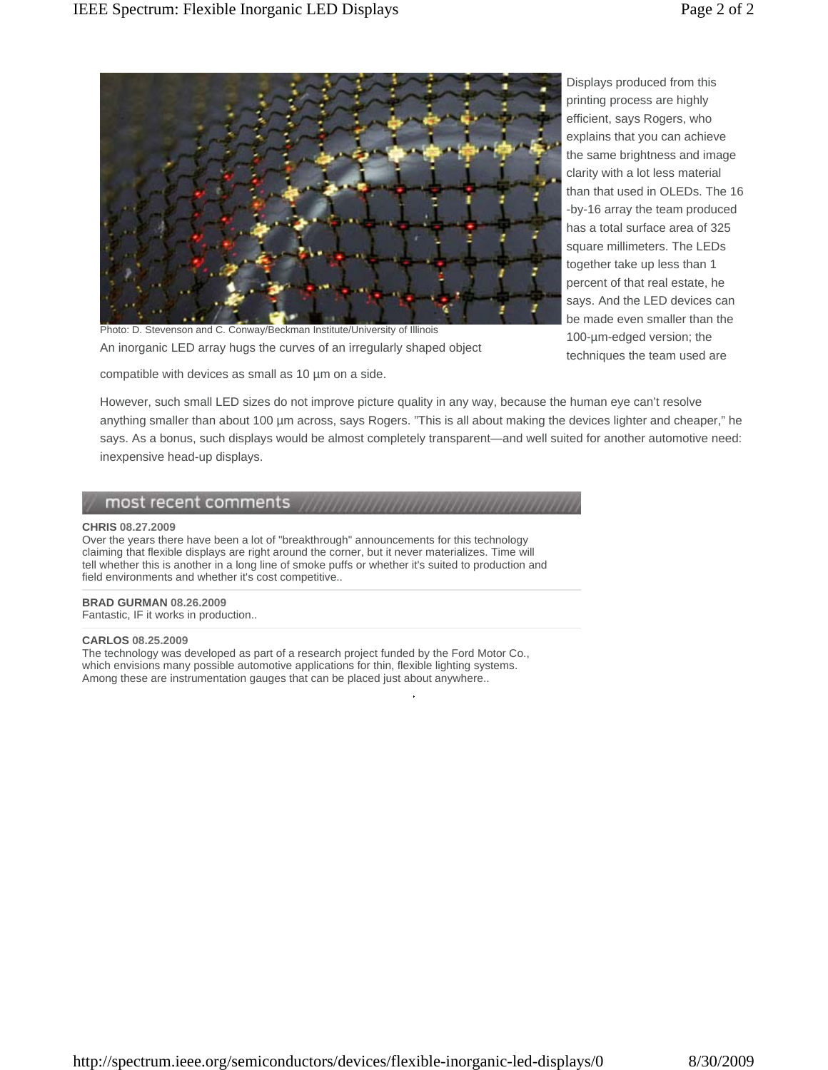

Photo: D. Stevenson and C. Conway/Beckman Institute/University of Illinois An inorganic LED array hugs the curves of an irregularly shaped object

compatible with devices as small as 10 µm on a side.

Displays produced from this printing process are highly efficient, says Rogers, who explains that you can achieve the same brightness and image clarity with a lot less material than that used in OLEDs. The 16 -by-16 array the team produced has a total surface area of 325 square millimeters. The LEDs together take up less than 1 percent of that real estate, he says. And the LED devices can be made even smaller than the 100-µm-edged version; the techniques the team used are

However, such small LED sizes do not improve picture quality in any way, because the human eye can't resolve anything smaller than about 100 µm across, says Rogers. "This is all about making the devices lighter and cheaper," he says. As a bonus, such displays would be almost completely transparent—and well suited for another automotive need: inexpensive head-up displays.

### most recent comments

#### **CHRIS 08.27.2009**

Over the years there have been a lot of "breakthrough" announcements for this technology claiming that flexible displays are right around the corner, but it never materializes. Time will tell whether this is another in a long line of smoke puffs or whether it's suited to production and field environments and whether it's cost competitive..

#### **BRAD GURMAN 08.26.2009**

Fantastic, IF it works in production..

#### **CARLOS 08.25.2009**

The technology was developed as part of a research project funded by the Ford Motor Co., which envisions many possible automotive applications for thin, flexible lighting systems. Among these are instrumentation gauges that can be placed just about anywhere..